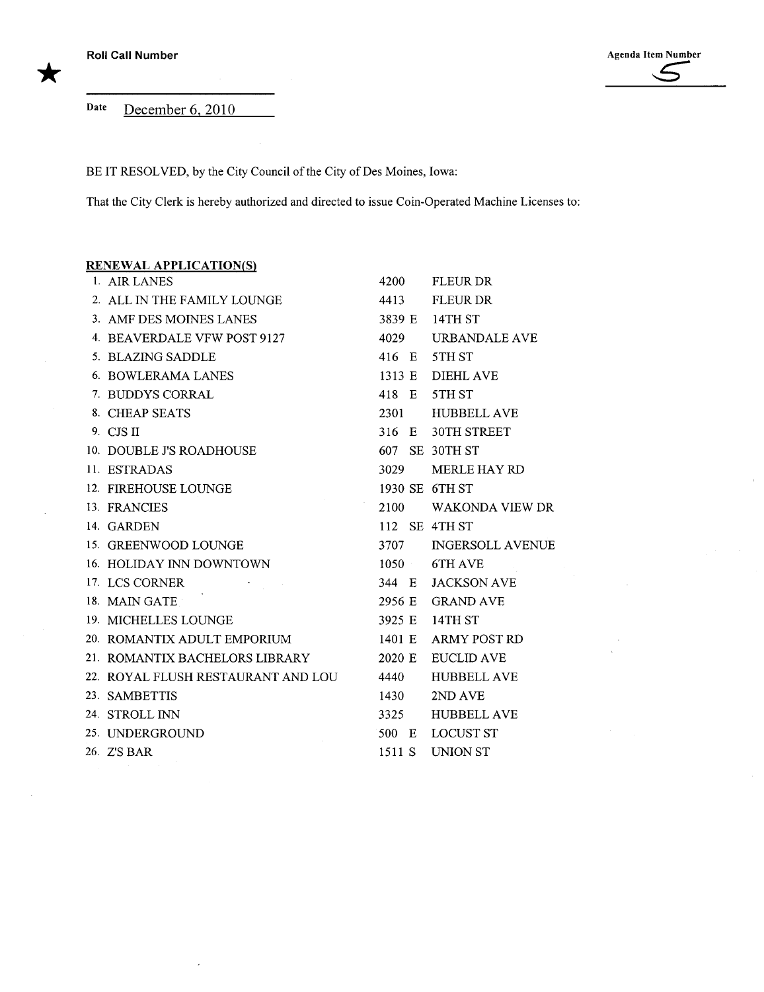Date December 6, 2010

BE IT RESOLVED, by the City Council of the City of Des Moines, Iowa:

That the City Clerk is hereby authorized and directed to issue Coin-Operated Machine Licenses to:

## RENEWAL APPLICATION(S)

| 1. AIR LANES                                                                                                                                                                                   | 4200   | <b>FLEUR DR</b>         |
|------------------------------------------------------------------------------------------------------------------------------------------------------------------------------------------------|--------|-------------------------|
| 2 ALL IN THE FAMILY LOUNGE                                                                                                                                                                     | 4413   | <b>FLEUR DR</b>         |
| 3. AMF DES MOINES LANES                                                                                                                                                                        |        | 3839 E 14TH ST          |
| 4. BEAVERDALE VFW POST 9127                                                                                                                                                                    | 4029   | URBANDALE AVE           |
| 5. BLAZING SADDLE                                                                                                                                                                              |        | $416$ E $5THST$         |
| 6. BOWLERAMA LANES                                                                                                                                                                             |        | 1313 E DIEHL AVE        |
| 7. BUDDYS CORRAL                                                                                                                                                                               |        | 418 E 5TH ST            |
| 8. CHEAP SEATS                                                                                                                                                                                 | 2301   | <b>HUBBELL AVE</b>      |
| 9. CJS II                                                                                                                                                                                      |        | 316 E 30TH STREET       |
| 10. DOUBLE J'S ROADHOUSE                                                                                                                                                                       |        | 607 SE 30TH ST          |
| 11. ESTRADAS                                                                                                                                                                                   | 3029   | <b>MERLE HAY RD</b>     |
| 12. FIREHOUSE LOUNGE                                                                                                                                                                           |        | 1930 SE 6TH ST          |
| 13. FRANCIES                                                                                                                                                                                   |        | 2100 WAKONDA VIEW DR    |
| 14. GARDEN                                                                                                                                                                                     |        | 112 SE 4TH ST           |
| 15. GREENWOOD LOUNGE                                                                                                                                                                           | 3707   | <b>INGERSOLL AVENUE</b> |
| 16. HOLIDAY INN DOWNTOWN                                                                                                                                                                       |        | $1050$ 6TH AVE          |
| 17. LCS CORNER<br>$\mathcal{L}^{\mathcal{L}}(\mathcal{L}^{\mathcal{L}})$ and $\mathcal{L}^{\mathcal{L}}(\mathcal{L}^{\mathcal{L}})$ and $\mathcal{L}^{\mathcal{L}}(\mathcal{L}^{\mathcal{L}})$ |        | 344 E JACKSON AVE       |
| 18. MAIN GATE                                                                                                                                                                                  | 2956 E | <b>GRAND AVE</b>        |
| 19. MICHELLES LOUNGE                                                                                                                                                                           |        | 3925 E 14TH ST          |
| 20. ROMANTIX ADULT EMPORIUM                                                                                                                                                                    |        | 1401 E ARMY POST RD     |
| 21. ROMANTIX BACHELORS LIBRARY                                                                                                                                                                 | 2020 E | <b>EUCLID AVE</b>       |
| 22. ROYAL FLUSH RESTAURANT AND LOU                                                                                                                                                             | 4440   | <b>HUBBELL AVE</b>      |
| 23. SAMBETTIS                                                                                                                                                                                  | 1430   | 2ND AVE                 |
| 24. STROLL INN                                                                                                                                                                                 | 3325   | <b>HUBBELL AVE</b>      |
| 25. UNDERGROUND                                                                                                                                                                                | 500 E  | <b>LOCUST ST</b>        |
| 26. Z'S BAR                                                                                                                                                                                    | 1511 S | <b>UNION ST</b>         |